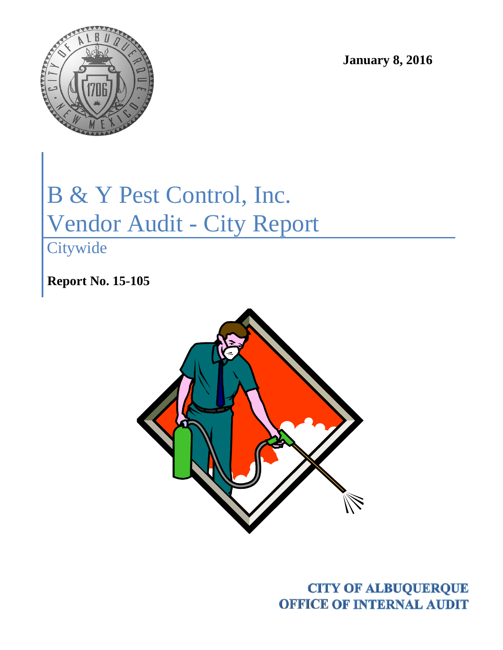

**January 8, 2016**

# B & Y Pest Control, Inc. Vendor Audit - City Report

**Citywide** 

**Report No. 15-105**



**CITY OF ALBUQUERQUE OFFICE OF INTERNAL AUDIT**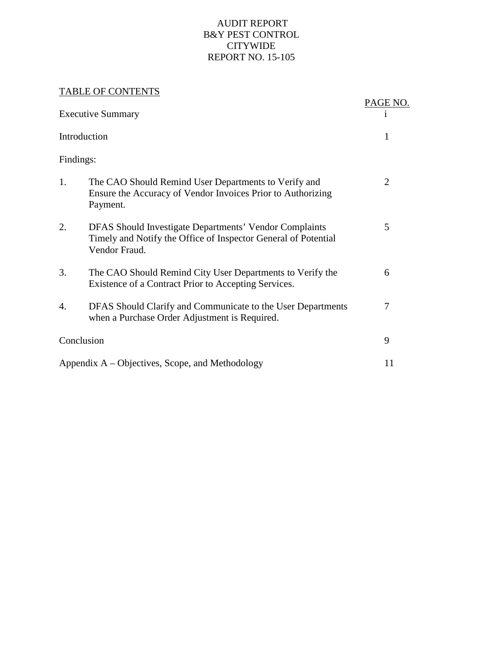#### AUDIT REPORT B&Y PEST CONTROL CITYWIDE REPORT NO. 15-105

#### TABLE OF CONTENTS

|                                                    | TUDEL OF COMPLEMENT                                                                                                                       |                |  |
|----------------------------------------------------|-------------------------------------------------------------------------------------------------------------------------------------------|----------------|--|
| <b>Executive Summary</b>                           | PAGE NO.<br>1                                                                                                                             |                |  |
| Introduction                                       | 1                                                                                                                                         |                |  |
| Findings:                                          |                                                                                                                                           |                |  |
| 1.                                                 | The CAO Should Remind User Departments to Verify and<br>Ensure the Accuracy of Vendor Invoices Prior to Authorizing<br>Payment.           | $\overline{2}$ |  |
| 2.                                                 | DFAS Should Investigate Departments' Vendor Complaints<br>Timely and Notify the Office of Inspector General of Potential<br>Vendor Fraud. | 5              |  |
| 3.                                                 | The CAO Should Remind City User Departments to Verify the<br>Existence of a Contract Prior to Accepting Services.                         | 6              |  |
| 4.                                                 | DFAS Should Clarify and Communicate to the User Departments<br>when a Purchase Order Adjustment is Required.                              | 7              |  |
| Conclusion                                         | 9                                                                                                                                         |                |  |
| Appendix $A - Objectives$ , Scope, and Methodology |                                                                                                                                           |                |  |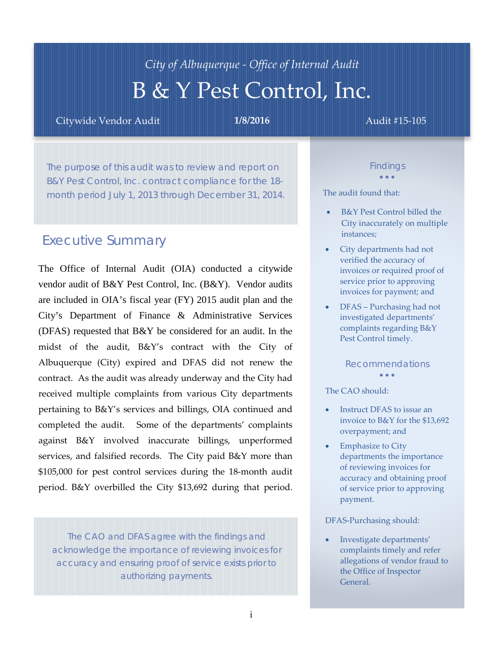# *City of Albuquerque - Office of Internal Audit*  B & Y Pest Control, Inc.

Citywide Vendor Audit **1/8/2016** Audit #15-105

The purpose of this audit was to review and report on B&Y Pest Control, Inc. contract compliance for the 18 month period July 1, 2013 through December 31, 2014.

# *Executive Summary*

The Office of Internal Audit (OIA) conducted a citywide vendor audit of B&Y Pest Control, Inc. (B&Y). Vendor audits are included in OIA's fiscal year (FY) 2015 audit plan and the City's Department of Finance & Administrative Services (DFAS) requested that B&Y be considered for an audit. In the midst of the audit, B&Y's contract with the City of Albuquerque (City) expired and DFAS did not renew the contract. As the audit was already underway and the City had received multiple complaints from various City departments pertaining to B&Y's services and billings, OIA continued and completed the audit. Some of the departments' complaints against B&Y involved inaccurate billings, unperformed services, and falsified records. The City paid B&Y more than \$105,000 for pest control services during the 18-month audit period. B&Y overbilled the City \$13,692 during that period.

*The CAO and DFAS agree with the findings and acknowledge the importance of reviewing invoices for accuracy and ensuring proof of service exists prior to authorizing payments.*

*Findings* • • •

The audit found that:

- B&Y Pest Control billed the City inaccurately on multiple instances;
- City departments had not verified the accuracy of invoices or required proof of service prior to approving invoices for payment; and
- DFAS Purchasing had not investigated departments' complaints regarding B&Y Pest Control timely.

#### *Recommendations*

• • •

#### The CAO should:

- Instruct DFAS to issue an invoice to B&Y for the \$13,692 overpayment; and
- **Emphasize to City** departments the importance of reviewing invoices for accuracy and obtaining proof of service prior to approving payment.

#### DFAS-Purchasing should:

• Investigate departments' complaints timely and refer allegations of vendor fraud to the Office of Inspector General.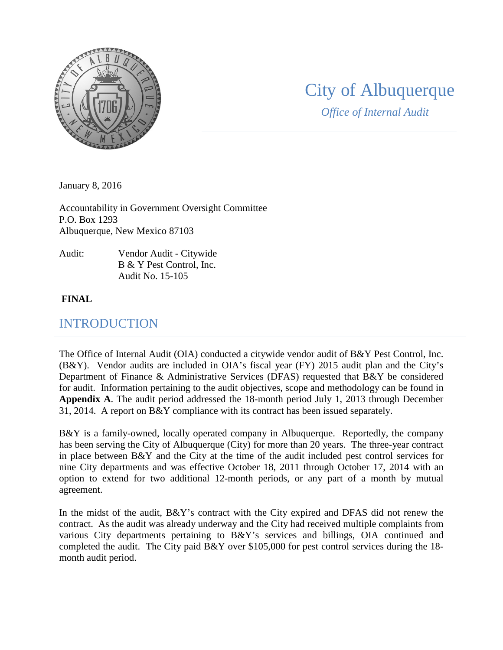

# City of Albuquerque

*Office of Internal Audit*

January 8, 2016

Accountability in Government Oversight Committee P.O. Box 1293 Albuquerque, New Mexico 87103

Audit: Vendor Audit - Citywide B & Y Pest Control, Inc. Audit No. 15-105

#### **FINAL**

### INTRODUCTION

The Office of Internal Audit (OIA) conducted a citywide vendor audit of B&Y Pest Control, Inc. (B&Y). Vendor audits are included in OIA's fiscal year (FY) 2015 audit plan and the City's Department of Finance & Administrative Services (DFAS) requested that B&Y be considered for audit. Information pertaining to the audit objectives, scope and methodology can be found in **Appendix A**. The audit period addressed the 18-month period July 1, 2013 through December 31, 2014. A report on B&Y compliance with its contract has been issued separately.

B&Y is a family-owned, locally operated company in Albuquerque. Reportedly, the company has been serving the City of Albuquerque (City) for more than 20 years. The three-year contract in place between B&Y and the City at the time of the audit included pest control services for nine City departments and was effective October 18, 2011 through October 17, 2014 with an option to extend for two additional 12-month periods, or any part of a month by mutual agreement.

In the midst of the audit, B&Y's contract with the City expired and DFAS did not renew the contract. As the audit was already underway and the City had received multiple complaints from various City departments pertaining to B&Y's services and billings, OIA continued and completed the audit. The City paid B&Y over \$105,000 for pest control services during the 18 month audit period.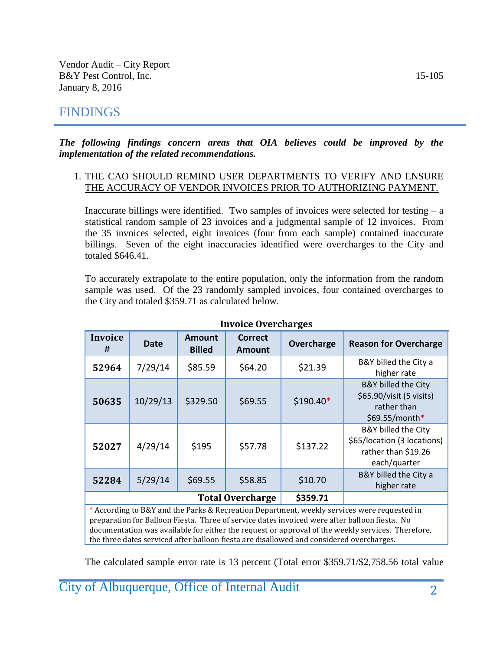# FINDINGS

#### *The following findings concern areas that OIA believes could be improved by the implementation of the related recommendations.*

#### 1. THE CAO SHOULD REMIND USER DEPARTMENTS TO VERIFY AND ENSURE THE ACCURACY OF VENDOR INVOICES PRIOR TO AUTHORIZING PAYMENT.

Inaccurate billings were identified. Two samples of invoices were selected for testing  $- a$ statistical random sample of 23 invoices and a judgmental sample of 12 invoices. From the 35 invoices selected, eight invoices (four from each sample) contained inaccurate billings. Seven of the eight inaccuracies identified were overcharges to the City and totaled \$646.41.

To accurately extrapolate to the entire population, only the information from the random sample was used. Of the 23 randomly sampled invoices, four contained overcharges to the City and totaled \$359.71 as calculated below.

| <b>Invoice</b><br># | <b>Date</b> | <b>Amount</b><br><b>Billed</b> | <b>Correct</b><br><b>Amount</b> | Overcharge | <b>Reason for Overcharge</b>                                                                |
|---------------------|-------------|--------------------------------|---------------------------------|------------|---------------------------------------------------------------------------------------------|
| 52964               | 7/29/14     | \$85.59                        | \$64.20                         | \$21.39    | B&Y billed the City a<br>higher rate                                                        |
| 50635               | 10/29/13    | \$329.50                       | \$69.55                         | $$190.40*$ | <b>B&amp;Y</b> billed the City<br>\$65.90/visit (5 visits)<br>rather than<br>\$69.55/month* |
| 52027               | 4/29/14     | \$195                          | \$57.78                         | \$137.22   | B&Y billed the City<br>\$65/location (3 locations)<br>rather than \$19.26<br>each/quarter   |
| 52284               | 5/29/14     | \$69.55                        | \$58.85                         | \$10.70    | B&Y billed the City a<br>higher rate                                                        |
|                     |             | <b>Total Overcharge</b>        | \$359.71                        |            |                                                                                             |

**Invoice Overcharges**

According to B&Y and the Parks & Recreation Department, weekly services were requested in preparation for Balloon Fiesta. Three of service dates invoiced were after balloon fiesta. No documentation was available for either the request or approval of the weekly services. Therefore, the three dates serviced after balloon fiesta are disallowed and considered overcharges.

The calculated sample error rate is 13 percent (Total error \$359.71/\$2,758.56 total value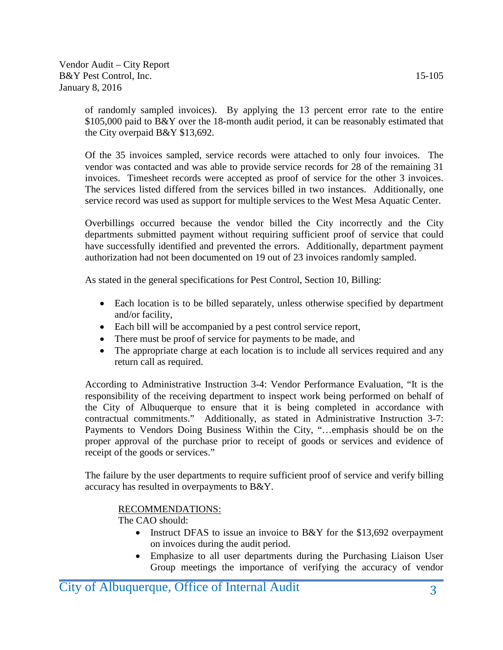of randomly sampled invoices). By applying the 13 percent error rate to the entire \$105,000 paid to B&Y over the 18-month audit period, it can be reasonably estimated that the City overpaid B&Y \$13,692.

Of the 35 invoices sampled, service records were attached to only four invoices. The vendor was contacted and was able to provide service records for 28 of the remaining 31 invoices. Timesheet records were accepted as proof of service for the other 3 invoices. The services listed differed from the services billed in two instances. Additionally, one service record was used as support for multiple services to the West Mesa Aquatic Center.

Overbillings occurred because the vendor billed the City incorrectly and the City departments submitted payment without requiring sufficient proof of service that could have successfully identified and prevented the errors. Additionally, department payment authorization had not been documented on 19 out of 23 invoices randomly sampled.

As stated in the general specifications for Pest Control, Section 10, Billing:

- Each location is to be billed separately, unless otherwise specified by department and/or facility,
- Each bill will be accompanied by a pest control service report,
- There must be proof of service for payments to be made, and
- The appropriate charge at each location is to include all services required and any return call as required.

According to Administrative Instruction 3-4: Vendor Performance Evaluation, "It is the responsibility of the receiving department to inspect work being performed on behalf of the City of Albuquerque to ensure that it is being completed in accordance with contractual commitments." Additionally, as stated in Administrative Instruction 3-7: Payments to Vendors Doing Business Within the City, "…emphasis should be on the proper approval of the purchase prior to receipt of goods or services and evidence of receipt of the goods or services."

The failure by the user departments to require sufficient proof of service and verify billing accuracy has resulted in overpayments to B&Y.

#### RECOMMENDATIONS:

The CAO should:

- Instruct DFAS to issue an invoice to B&Y for the \$13,692 overpayment on invoices during the audit period.
- Emphasize to all user departments during the Purchasing Liaison User Group meetings the importance of verifying the accuracy of vendor

City of Albuquerque, Office of Internal Audit 3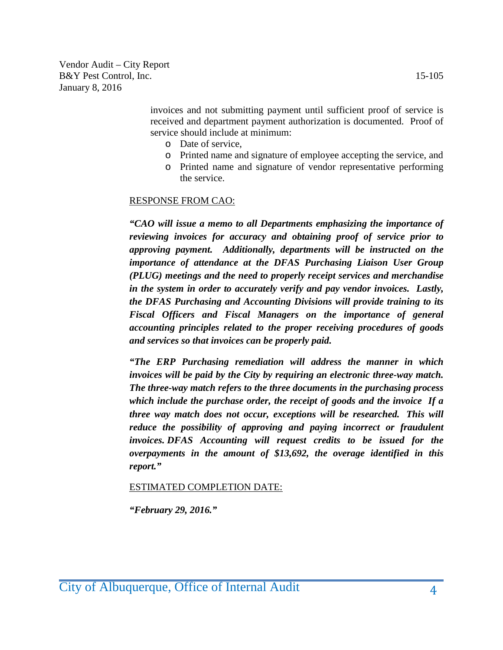> invoices and not submitting payment until sufficient proof of service is received and department payment authorization is documented. Proof of service should include at minimum:

- o Date of service,
- o Printed name and signature of employee accepting the service, and
- o Printed name and signature of vendor representative performing the service.

#### RESPONSE FROM CAO:

*"CAO will issue a memo to all Departments emphasizing the importance of reviewing invoices for accuracy and obtaining proof of service prior to approving payment. Additionally, departments will be instructed on the importance of attendance at the DFAS Purchasing Liaison User Group (PLUG) meetings and the need to properly receipt services and merchandise in the system in order to accurately verify and pay vendor invoices. Lastly, the DFAS Purchasing and Accounting Divisions will provide training to its Fiscal Officers and Fiscal Managers on the importance of general accounting principles related to the proper receiving procedures of goods and services so that invoices can be properly paid.*

*"The ERP Purchasing remediation will address the manner in which invoices will be paid by the City by requiring an electronic three-way match. The three-way match refers to the three documents in the purchasing process which include the purchase order, the receipt of goods and the invoice If a three way match does not occur, exceptions will be researched. This will reduce the possibility of approving and paying incorrect or fraudulent invoices. DFAS Accounting will request credits to be issued for the overpayments in the amount of \$13,692, the overage identified in this report."*

ESTIMATED COMPLETION DATE:

*"February 29, 2016."*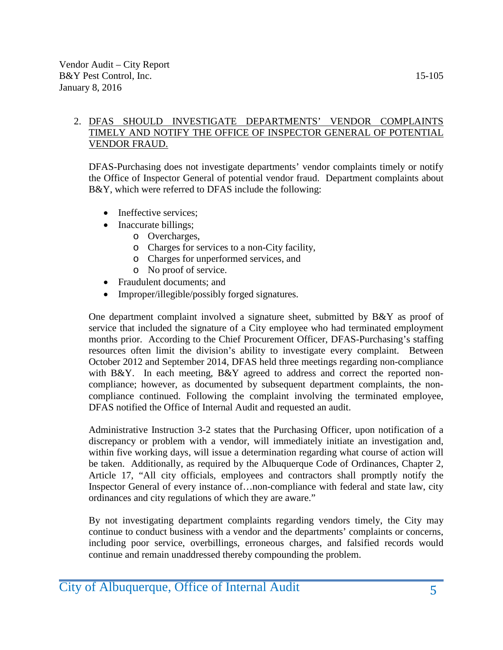#### 2. DFAS SHOULD INVESTIGATE DEPARTMENTS' VENDOR COMPLAINTS TIMELY AND NOTIFY THE OFFICE OF INSPECTOR GENERAL OF POTENTIAL VENDOR FRAUD.

DFAS-Purchasing does not investigate departments' vendor complaints timely or notify the Office of Inspector General of potential vendor fraud. Department complaints about B&Y, which were referred to DFAS include the following:

- Ineffective services;
- Inaccurate billings;
	- o Overcharges,
	- o Charges for services to a non-City facility,
	- o Charges for unperformed services, and
	- o No proof of service.
- Fraudulent documents; and
- Improper/illegible/possibly forged signatures.

One department complaint involved a signature sheet, submitted by B&Y as proof of service that included the signature of a City employee who had terminated employment months prior. According to the Chief Procurement Officer, DFAS-Purchasing's staffing resources often limit the division's ability to investigate every complaint. Between October 2012 and September 2014, DFAS held three meetings regarding non-compliance with B&Y. In each meeting, B&Y agreed to address and correct the reported noncompliance; however, as documented by subsequent department complaints, the noncompliance continued. Following the complaint involving the terminated employee, DFAS notified the Office of Internal Audit and requested an audit.

Administrative Instruction 3-2 states that the Purchasing Officer, upon notification of a discrepancy or problem with a vendor, will immediately initiate an investigation and, within five working days, will issue a determination regarding what course of action will be taken. Additionally, as required by the Albuquerque Code of Ordinances, Chapter 2, Article 17, "All city officials, employees and contractors shall promptly notify the Inspector General of every instance of…non-compliance with federal and state law, city ordinances and city regulations of which they are aware."

By not investigating department complaints regarding vendors timely, the City may continue to conduct business with a vendor and the departments' complaints or concerns, including poor service, overbillings, erroneous charges, and falsified records would continue and remain unaddressed thereby compounding the problem.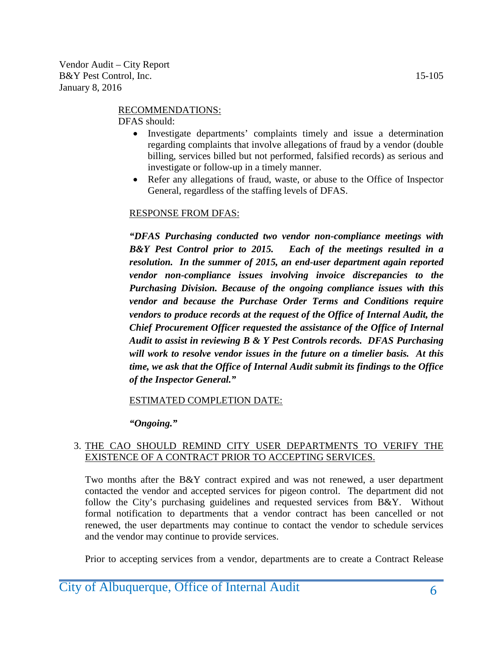#### RECOMMENDATIONS:

DFAS should:

- Investigate departments' complaints timely and issue a determination regarding complaints that involve allegations of fraud by a vendor (double billing, services billed but not performed, falsified records) as serious and investigate or follow-up in a timely manner.
- Refer any allegations of fraud, waste, or abuse to the Office of Inspector General, regardless of the staffing levels of DFAS.

#### RESPONSE FROM DFAS:

*"DFAS Purchasing conducted two vendor non-compliance meetings with B&Y Pest Control prior to 2015. Each of the meetings resulted in a resolution. In the summer of 2015, an end-user department again reported vendor non-compliance issues involving invoice discrepancies to the Purchasing Division. Because of the ongoing compliance issues with this vendor and because the Purchase Order Terms and Conditions require vendors to produce records at the request of the Office of Internal Audit, the Chief Procurement Officer requested the assistance of the Office of Internal Audit to assist in reviewing B & Y Pest Controls records. DFAS Purchasing will work to resolve vendor issues in the future on a timelier basis. At this time, we ask that the Office of Internal Audit submit its findings to the Office of the Inspector General."*

ESTIMATED COMPLETION DATE:

*"Ongoing."*

#### 3. THE CAO SHOULD REMIND CITY USER DEPARTMENTS TO VERIFY THE EXISTENCE OF A CONTRACT PRIOR TO ACCEPTING SERVICES.

Two months after the B&Y contract expired and was not renewed, a user department contacted the vendor and accepted services for pigeon control. The department did not follow the City's purchasing guidelines and requested services from B&Y. Without formal notification to departments that a vendor contract has been cancelled or not renewed, the user departments may continue to contact the vendor to schedule services and the vendor may continue to provide services.

Prior to accepting services from a vendor, departments are to create a Contract Release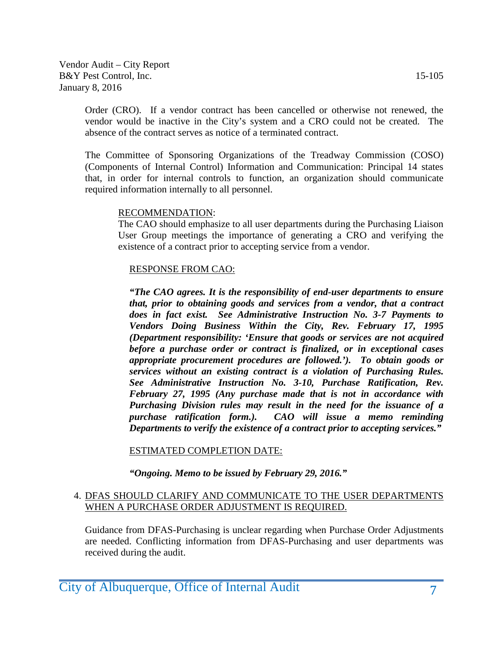Order (CRO). If a vendor contract has been cancelled or otherwise not renewed, the vendor would be inactive in the City's system and a CRO could not be created. The absence of the contract serves as notice of a terminated contract.

The Committee of Sponsoring Organizations of the Treadway Commission (COSO) (Components of Internal Control) Information and Communication: Principal 14 states that, in order for internal controls to function, an organization should communicate required information internally to all personnel.

#### RECOMMENDATION:

The CAO should emphasize to all user departments during the Purchasing Liaison User Group meetings the importance of generating a CRO and verifying the existence of a contract prior to accepting service from a vendor.

#### RESPONSE FROM CAO:

*"The CAO agrees. It is the responsibility of end-user departments to ensure that, prior to obtaining goods and services from a vendor, that a contract does in fact exist. See Administrative Instruction No. 3-7 Payments to Vendors Doing Business Within the City, Rev. February 17, 1995 (Department responsibility: 'Ensure that goods or services are not acquired before a purchase order or contract is finalized, or in exceptional cases appropriate procurement procedures are followed.'). To obtain goods or services without an existing contract is a violation of Purchasing Rules. See Administrative Instruction No. 3-10, Purchase Ratification, Rev. February 27, 1995 (Any purchase made that is not in accordance with Purchasing Division rules may result in the need for the issuance of a purchase ratification form.). CAO will issue a memo reminding Departments to verify the existence of a contract prior to accepting services."*

#### ESTIMATED COMPLETION DATE:

*"Ongoing. Memo to be issued by February 29, 2016."*

#### 4. DFAS SHOULD CLARIFY AND COMMUNICATE TO THE USER DEPARTMENTS WHEN A PURCHASE ORDER ADJUSTMENT IS REQUIRED.

Guidance from DFAS-Purchasing is unclear regarding when Purchase Order Adjustments are needed. Conflicting information from DFAS-Purchasing and user departments was received during the audit.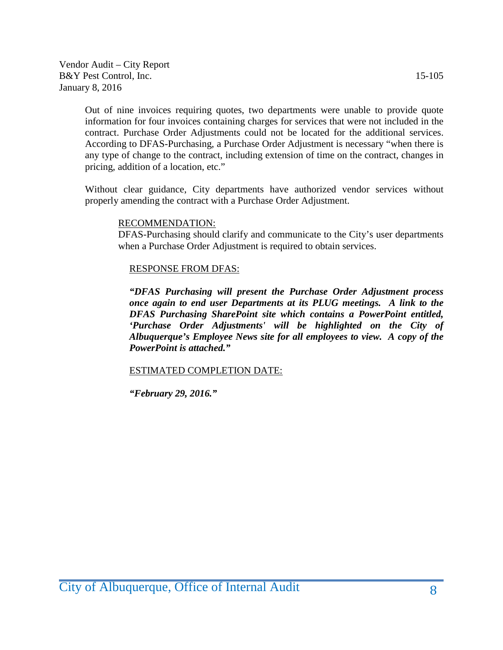Out of nine invoices requiring quotes, two departments were unable to provide quote information for four invoices containing charges for services that were not included in the contract. Purchase Order Adjustments could not be located for the additional services. According to DFAS-Purchasing, a Purchase Order Adjustment is necessary "when there is any type of change to the contract, including extension of time on the contract, changes in pricing, addition of a location, etc."

Without clear guidance, City departments have authorized vendor services without properly amending the contract with a Purchase Order Adjustment.

#### RECOMMENDATION:

DFAS-Purchasing should clarify and communicate to the City's user departments when a Purchase Order Adjustment is required to obtain services.

#### RESPONSE FROM DFAS:

*"DFAS Purchasing will present the Purchase Order Adjustment process once again to end user Departments at its PLUG meetings. A link to the DFAS Purchasing SharePoint site which contains a PowerPoint entitled, 'Purchase Order Adjustments' will be highlighted on the City of Albuquerque's Employee News site for all employees to view. A copy of the PowerPoint is attached."*

#### ESTIMATED COMPLETION DATE:

*"February 29, 2016."*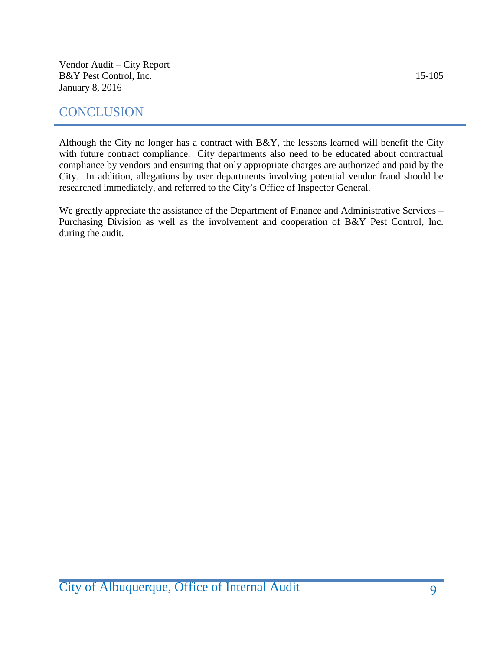# **CONCLUSION**

Although the City no longer has a contract with B&Y, the lessons learned will benefit the City with future contract compliance. City departments also need to be educated about contractual compliance by vendors and ensuring that only appropriate charges are authorized and paid by the City. In addition, allegations by user departments involving potential vendor fraud should be researched immediately, and referred to the City's Office of Inspector General.

We greatly appreciate the assistance of the Department of Finance and Administrative Services – Purchasing Division as well as the involvement and cooperation of B&Y Pest Control, Inc. during the audit.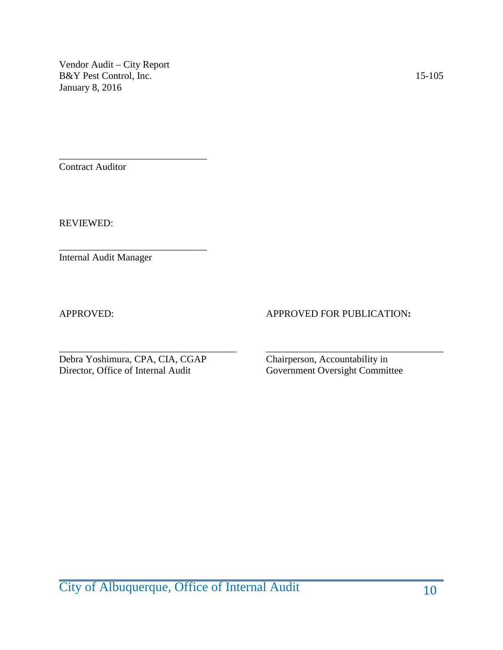\_\_\_\_\_\_\_\_\_\_\_\_\_\_\_\_\_\_\_\_\_\_\_\_\_\_\_\_\_\_ Contract Auditor

REVIEWED:

Internal Audit Manager

#### APPROVED: APPROVED FOR PUBLICATION**:**

Debra Yoshimura, CPA, CIA, CGAP Chairperson, Accountability in Director, Office of Internal Audit Government Oversight Committee

\_\_\_\_\_\_\_\_\_\_\_\_\_\_\_\_\_\_\_\_\_\_\_\_\_\_\_\_\_\_

\_\_\_\_\_\_\_\_\_\_\_\_\_\_\_\_\_\_\_\_\_\_\_\_\_\_\_\_\_\_\_\_\_\_\_\_ \_\_\_\_\_\_\_\_\_\_\_\_\_\_\_\_\_\_\_\_\_\_\_\_\_\_\_\_\_\_\_\_\_\_\_\_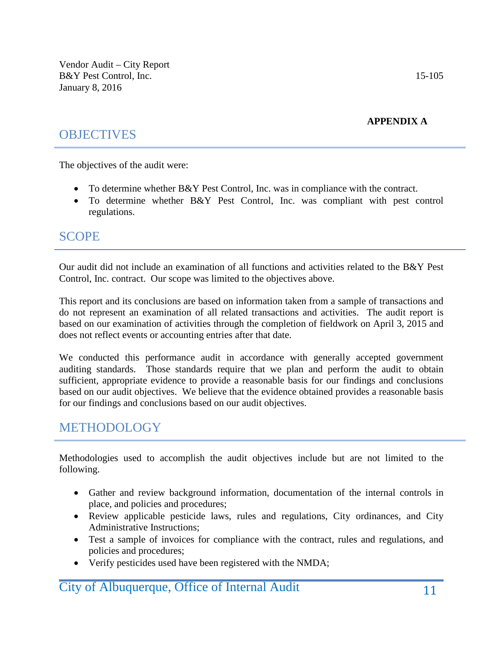**APPENDIX A**

# **OBJECTIVES**

The objectives of the audit were:

- To determine whether B&Y Pest Control, Inc. was in compliance with the contract.
- To determine whether B&Y Pest Control, Inc. was compliant with pest control regulations.

### **SCOPE**

Our audit did not include an examination of all functions and activities related to the B&Y Pest Control, Inc. contract. Our scope was limited to the objectives above.

This report and its conclusions are based on information taken from a sample of transactions and do not represent an examination of all related transactions and activities. The audit report is based on our examination of activities through the completion of fieldwork on April 3, 2015 and does not reflect events or accounting entries after that date.

We conducted this performance audit in accordance with generally accepted government auditing standards. Those standards require that we plan and perform the audit to obtain sufficient, appropriate evidence to provide a reasonable basis for our findings and conclusions based on our audit objectives. We believe that the evidence obtained provides a reasonable basis for our findings and conclusions based on our audit objectives.

# METHODOLOGY

Methodologies used to accomplish the audit objectives include but are not limited to the following.

- Gather and review background information, documentation of the internal controls in place, and policies and procedures;
- Review applicable pesticide laws, rules and regulations, City ordinances, and City Administrative Instructions;
- Test a sample of invoices for compliance with the contract, rules and regulations, and policies and procedures;
- Verify pesticides used have been registered with the NMDA;

### **City of Albuquerque, Office of Internal Audit** 11